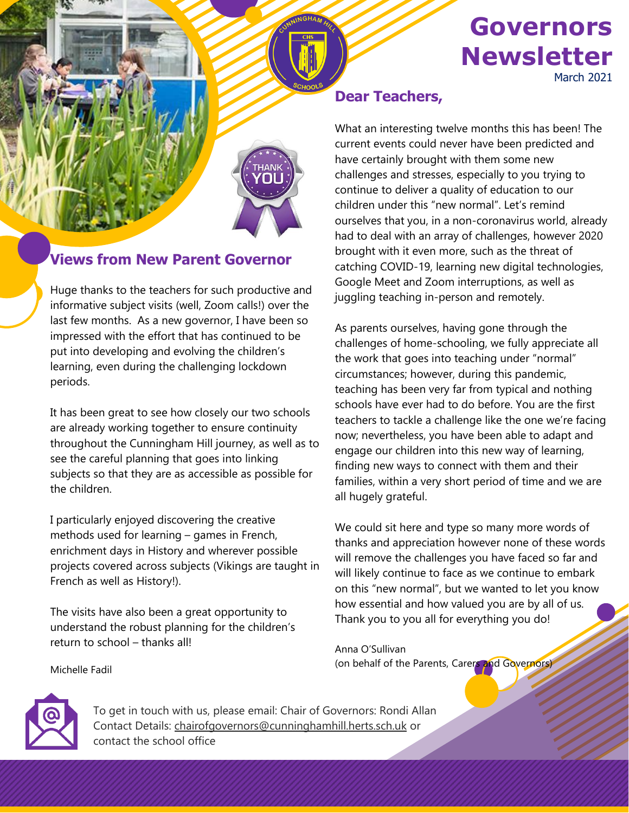## **Governors Newsletter** March 2021



### **Views from New Parent Governor**

Huge thanks to the teachers for such productive and informative subject visits (well, Zoom calls!) over the last few months. As a new governor, I have been so impressed with the effort that has continued to be put into developing and evolving the children's learning, even during the challenging lockdown periods.

It has been great to see how closely our two schools are already working together to ensure continuity throughout the Cunningham Hill journey, as well as to see the careful planning that goes into linking subjects so that they are as accessible as possible for the children.

I particularly enjoyed discovering the creative methods used for learning – games in French, enrichment days in History and wherever possible projects covered across subjects (Vikings are taught in French as well as History!).

The visits have also been a great opportunity to understand the robust planning for the children's return to school – thanks all!

#### **Dear Teachers,**

What an interesting twelve months this has been! The current events could never have been predicted and have certainly brought with them some new challenges and stresses, especially to you trying to continue to deliver a quality of education to our children under this "new normal". Let's remind ourselves that you, in a non-coronavirus world, already had to deal with an array of challenges, however 2020 brought with it even more, such as the threat of catching COVID-19, learning new digital technologies, Google Meet and Zoom interruptions, as well as juggling teaching in-person and remotely.

As parents ourselves, having gone through the challenges of home-schooling, we fully appreciate all the work that goes into teaching under "normal" circumstances; however, during this pandemic, teaching has been very far from typical and nothing schools have ever had to do before. You are the first teachers to tackle a challenge like the one we're facing now; nevertheless, you have been able to adapt and engage our children into this new way of learning, finding new ways to connect with them and their families, within a very short period of time and we are all hugely grateful.

We could sit here and type so many more words of thanks and appreciation however none of these words will remove the challenges you have faced so far and will likely continue to face as we continue to embark on this "new normal", but we wanted to let you know how essential and how valued you are by all of us. Thank you to you all for everything you do!

Anna O'Sullivan (on behalf of the Parents, Carers and Governors)



c

Michelle Fadil

To get in touch with us, please email: Chair of Governors: Rondi Allan Contact Details: [chairofgovernors@cunninghamhill.herts.sch.uk](mailto:chairofgovernors@cunninghamhill.herts.sch.uk) or contact the school office